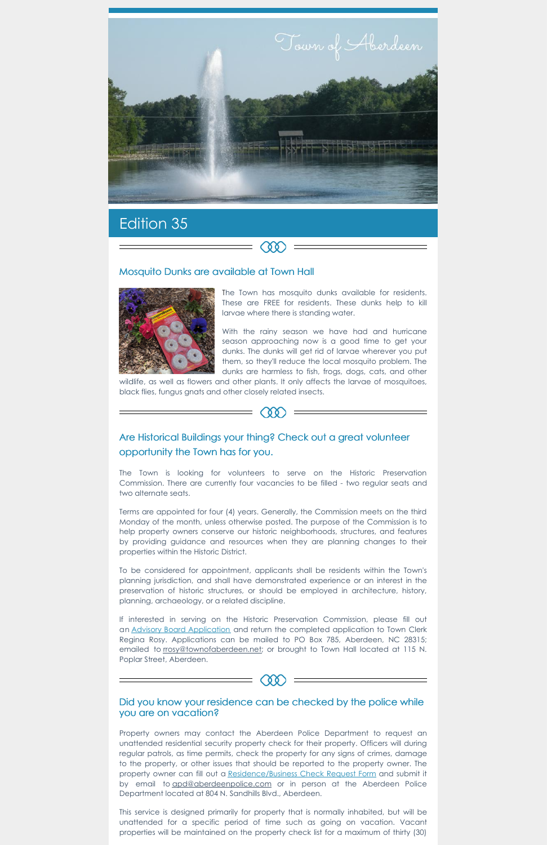

 $\infty$ 

# Edition 35

### Mosquito Dunks are available at Town Hall



The Town has mosquito dunks available for residents. These are FREE for residents. These dunks help to kill larvae where there is standing water.

With the rainy season we have had and hurricane season approaching now is a good time to get your dunks. The dunks will get rid of larvae wherever you put them, so they'll reduce the local mosquito problem. The dunks are harmless to fish, frogs, dogs, cats, and other

wildlife, as well as flowers and other plants. It only affects the larvae of mosquitoes, black flies, fungus gnats and other closely related insects.



# Are Historical Buildings your thing? Check out a great volunteer opportunity the Town has for you.

The Town is looking for volunteers to serve on the Historic Preservation Commission. There are currently four vacancies to be filled - two regular seats and two alternate seats.

an Advisory Board [Application](https://www.townofaberdeen.net/docview.aspx?docid=1565) and return the completed application to Town Clerk Regina Rosy. Applications can be mailed to PO Box 785, Aberdeen, NC 28315; emailed to [rrosy@townofaberdeen.net](http://rrosy@townofaberdeen.net); or brought to Town Hall located at 115 N. Poplar Street, Aberdeen.

Terms are appointed for four (4) years. Generally, the Commission meets on the third Monday of the month, unless otherwise posted. The purpose of the Commission is to help property owners conserve our historic neighborhoods, structures, and features by providing guidance and resources when they are planning changes to their properties within the Historic District.

To be considered for appointment, applicants shall be residents within the Town's planning jurisdiction, and shall have demonstrated experience or an interest in the preservation of historic structures, or should be employed in architecture, history, planning, archaeology, or a related discipline.

If interested in serving on the Historic Preservation Commission, please fill out

## Did you know your residence can be checked by the police while you are on vacation?

 $\equiv$   $\infty$ 

Property owners may contact the Aberdeen Police Department to request an unattended residential security property check for their property. Officers will during regular patrols, as time permits, check the property for any signs of crimes, damage to the property, or other issues that should be reported to the property owner. The property owner can fill out a [Residence/Business](https://www.townofaberdeen.net/files/documents/document135103700102115.pdf) Check Request Form and submit it by email to [apd@aberdeenpolice.com](mailto:apd@aberdeenpolice.com) or in person at the Aberdeen Police Department located at 804 N. Sandhills Blvd., Aberdeen.

This service is designed primarily for property that is normally inhabited, but will be unattended for a specific period of time such as going on vacation. Vacant properties will be maintained on the property check list for a maximum of thirty (30)